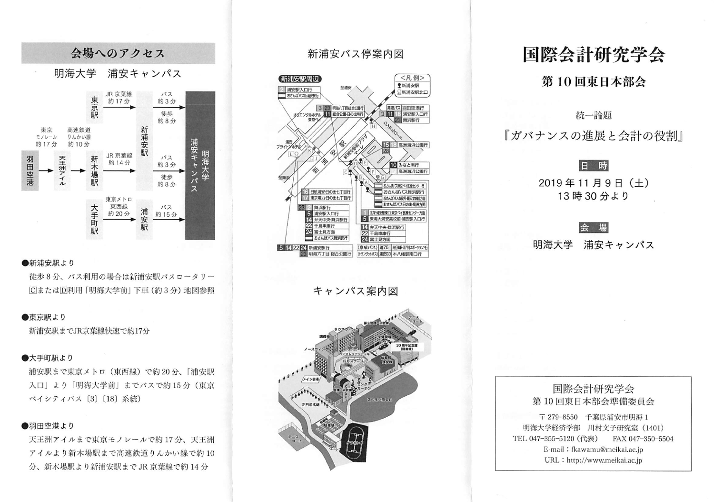

#### ●新浦安駅より

徒歩8分、バス利用の場合は新浦安駅バスロータリー [C]または[D]利用 「明海大学前| 下車 (約3分) 地図参照

### ●東京駅より

新浦安駅までJR京葉線快速で約17分

#### ●大手町駅より

浦安駅まで東京メトロ (東西線)で約20分、「浦安駅 入口」より「明海大学前」までバスで約15分(東京 ベイシティバス [3] [18] 系統)

#### ●羽田空港より

天王洲アイルまで東京モノレールで約17分、天王洲 アイルより新木場駅まで高速鉄道りんかい線で約10 分、新木場駅より新浦安駅まで JR 京葉線で約 14 分

## 新浦安バス停案内図



キャンパス案内図



# 国際会計研究学会

## 第10回東日本部会

統一論題

『ガバナンスの進展と会計の役割』



会 場

明海大学 浦安キャンパス



E-mail: fkawamu@meikai.ac.jp URL : http://www.meikai.ac.jp